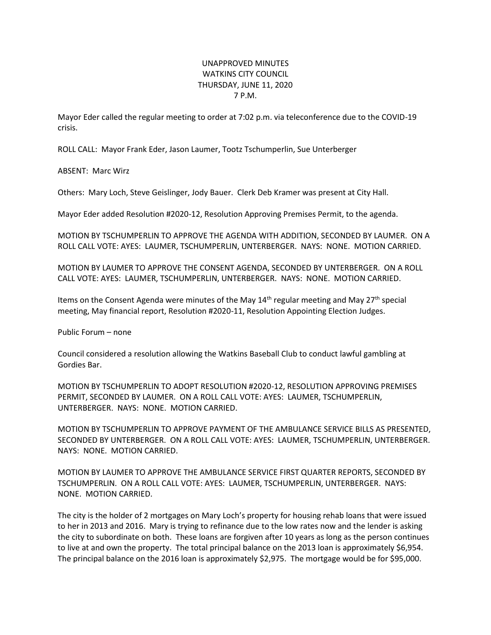## UNAPPROVED MINUTES WATKINS CITY COUNCIL THURSDAY, JUNE 11, 2020 7 P.M.

Mayor Eder called the regular meeting to order at 7:02 p.m. via teleconference due to the COVID-19 crisis.

ROLL CALL: Mayor Frank Eder, Jason Laumer, Tootz Tschumperlin, Sue Unterberger

ABSENT: Marc Wirz

Others: Mary Loch, Steve Geislinger, Jody Bauer. Clerk Deb Kramer was present at City Hall.

Mayor Eder added Resolution #2020-12, Resolution Approving Premises Permit, to the agenda.

MOTION BY TSCHUMPERLIN TO APPROVE THE AGENDA WITH ADDITION, SECONDED BY LAUMER. ON A ROLL CALL VOTE: AYES: LAUMER, TSCHUMPERLIN, UNTERBERGER. NAYS: NONE. MOTION CARRIED.

MOTION BY LAUMER TO APPROVE THE CONSENT AGENDA, SECONDED BY UNTERBERGER. ON A ROLL CALL VOTE: AYES: LAUMER, TSCHUMPERLIN, UNTERBERGER. NAYS: NONE. MOTION CARRIED.

Items on the Consent Agenda were minutes of the May  $14<sup>th</sup>$  regular meeting and May  $27<sup>th</sup>$  special meeting, May financial report, Resolution #2020-11, Resolution Appointing Election Judges.

Public Forum – none

Council considered a resolution allowing the Watkins Baseball Club to conduct lawful gambling at Gordies Bar.

MOTION BY TSCHUMPERLIN TO ADOPT RESOLUTION #2020-12, RESOLUTION APPROVING PREMISES PERMIT, SECONDED BY LAUMER. ON A ROLL CALL VOTE: AYES: LAUMER, TSCHUMPERLIN, UNTERBERGER. NAYS: NONE. MOTION CARRIED.

MOTION BY TSCHUMPERLIN TO APPROVE PAYMENT OF THE AMBULANCE SERVICE BILLS AS PRESENTED, SECONDED BY UNTERBERGER. ON A ROLL CALL VOTE: AYES: LAUMER, TSCHUMPERLIN, UNTERBERGER. NAYS: NONE. MOTION CARRIED.

MOTION BY LAUMER TO APPROVE THE AMBULANCE SERVICE FIRST QUARTER REPORTS, SECONDED BY TSCHUMPERLIN. ON A ROLL CALL VOTE: AYES: LAUMER, TSCHUMPERLIN, UNTERBERGER. NAYS: NONE. MOTION CARRIED.

The city is the holder of 2 mortgages on Mary Loch's property for housing rehab loans that were issued to her in 2013 and 2016. Mary is trying to refinance due to the low rates now and the lender is asking the city to subordinate on both. These loans are forgiven after 10 years as long as the person continues to live at and own the property. The total principal balance on the 2013 loan is approximately \$6,954. The principal balance on the 2016 loan is approximately \$2,975. The mortgage would be for \$95,000.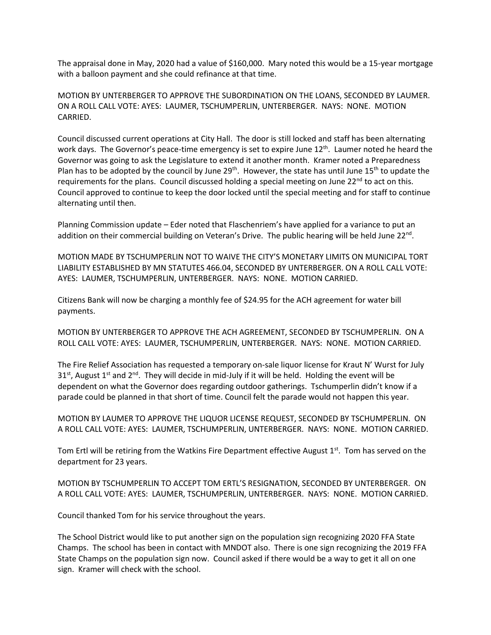The appraisal done in May, 2020 had a value of \$160,000. Mary noted this would be a 15-year mortgage with a balloon payment and she could refinance at that time.

MOTION BY UNTERBERGER TO APPROVE THE SUBORDINATION ON THE LOANS, SECONDED BY LAUMER. ON A ROLL CALL VOTE: AYES: LAUMER, TSCHUMPERLIN, UNTERBERGER. NAYS: NONE. MOTION CARRIED.

Council discussed current operations at City Hall. The door is still locked and staff has been alternating work days. The Governor's peace-time emergency is set to expire June 12<sup>th</sup>. Laumer noted he heard the Governor was going to ask the Legislature to extend it another month. Kramer noted a Preparedness Plan has to be adopted by the council by June 29<sup>th</sup>. However, the state has until June 15<sup>th</sup> to update the requirements for the plans. Council discussed holding a special meeting on June 22<sup>nd</sup> to act on this. Council approved to continue to keep the door locked until the special meeting and for staff to continue alternating until then.

Planning Commission update – Eder noted that Flaschenriem's have applied for a variance to put an addition on their commercial building on Veteran's Drive. The public hearing will be held June 22<sup>nd</sup>.

MOTION MADE BY TSCHUMPERLIN NOT TO WAIVE THE CITY'S MONETARY LIMITS ON MUNICIPAL TORT LIABILITY ESTABLISHED BY MN STATUTES 466.04, SECONDED BY UNTERBERGER. ON A ROLL CALL VOTE: AYES: LAUMER, TSCHUMPERLIN, UNTERBERGER. NAYS: NONE. MOTION CARRIED.

Citizens Bank will now be charging a monthly fee of \$24.95 for the ACH agreement for water bill payments.

MOTION BY UNTERBERGER TO APPROVE THE ACH AGREEMENT, SECONDED BY TSCHUMPERLIN. ON A ROLL CALL VOTE: AYES: LAUMER, TSCHUMPERLIN, UNTERBERGER. NAYS: NONE. MOTION CARRIED.

The Fire Relief Association has requested a temporary on-sale liquor license for Kraut N' Wurst for July  $31<sup>st</sup>$ , August 1<sup>st</sup> and 2<sup>nd</sup>. They will decide in mid-July if it will be held. Holding the event will be dependent on what the Governor does regarding outdoor gatherings. Tschumperlin didn't know if a parade could be planned in that short of time. Council felt the parade would not happen this year.

MOTION BY LAUMER TO APPROVE THE LIQUOR LICENSE REQUEST, SECONDED BY TSCHUMPERLIN. ON A ROLL CALL VOTE: AYES: LAUMER, TSCHUMPERLIN, UNTERBERGER. NAYS: NONE. MOTION CARRIED.

Tom Ertl will be retiring from the Watkins Fire Department effective August  $1<sup>st</sup>$ . Tom has served on the department for 23 years.

MOTION BY TSCHUMPERLIN TO ACCEPT TOM ERTL'S RESIGNATION, SECONDED BY UNTERBERGER. ON A ROLL CALL VOTE: AYES: LAUMER, TSCHUMPERLIN, UNTERBERGER. NAYS: NONE. MOTION CARRIED.

Council thanked Tom for his service throughout the years.

The School District would like to put another sign on the population sign recognizing 2020 FFA State Champs. The school has been in contact with MNDOT also. There is one sign recognizing the 2019 FFA State Champs on the population sign now. Council asked if there would be a way to get it all on one sign. Kramer will check with the school.